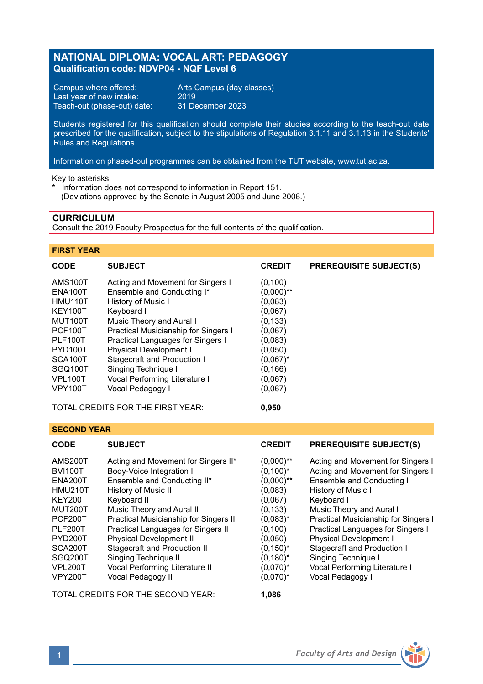# **NATIONAL DIPLOMA: VOCAL ART: PEDAGOGY Qualification code: NDVP04 - NQF Level 6**

Campus where offered: Arts Campus (day classes)<br>Last year of new intake: 2019 Last year of new intake: 2019<br>Teach-out (phase-out) date: 31 December 2023 Teach-out (phase-out) date:

Students registered for this qualification should complete their studies according to the teach-out date prescribed for the qualification, subject to the stipulations of Regulation 3.1.11 and 3.1.13 in the Students' Rules and Regulations.

Information on phased-out programmes can be obtained from the TUT website, www.tut.ac.za.

Key to asterisks:

\* Information does not correspond to information in Report 151. (Deviations approved by the Senate in August 2005 and June 2006.)

# **CURRICULUM**

Consult the 2019 Faculty Prospectus for the full contents of the qualification.

# **FIRST YEAR**

| <b>CODE</b>          | <b>SUBJECT</b>                       | <b>CREDIT</b> | <b>PREREQUISITE SUBJECT(S)</b> |
|----------------------|--------------------------------------|---------------|--------------------------------|
| <b>AMS100T</b>       | Acting and Movement for Singers I    | (0, 100)      |                                |
| <b>ENA100T</b>       | Ensemble and Conducting I*           | $(0,000)$ **  |                                |
| HMU110T              | History of Music I                   | (0,083)       |                                |
| KEY100T              | Keyboard I                           | (0,067)       |                                |
| MUT100T              | Music Theory and Aural I             | (0, 133)      |                                |
| PCF100T              | Practical Musicianship for Singers I | (0,067)       |                                |
| <b>PLF100T</b>       | Practical Languages for Singers I    | (0,083)       |                                |
| PYD <sub>100</sub> T | Physical Development I               | (0,050)       |                                |
| SCA <sub>100</sub> T | Stagecraft and Production I          | $(0.067)^*$   |                                |
| SGQ100T              | Singing Technique I                  | (0, 166)      |                                |
| <b>VPL100T</b>       | Vocal Performing Literature I        | (0,067)       |                                |
| <b>VPY100T</b>       | Vocal Pedagogy I                     | (0,067)       |                                |

TOTAL CREDITS FOR THE FIRST YEAR: **0,950**

### **SECOND YEAR**

| <b>CODE</b>    | <b>SUBJECT</b>                        | <b>CREDIT</b> | <b>PREREQUISITE SUBJECT(S)</b>       |
|----------------|---------------------------------------|---------------|--------------------------------------|
| <b>AMS200T</b> | Acting and Movement for Singers II*   | $(0,000)$ **  | Acting and Movement for Singers I    |
| <b>BVI100T</b> | Body-Voice Integration I              | $(0.100)^*$   | Acting and Movement for Singers I    |
| <b>ENA200T</b> | Ensemble and Conducting II*           | $(0,000)$ **  | Ensemble and Conducting I            |
| <b>HMU210T</b> | History of Music II                   | (0,083)       | History of Music I                   |
| <b>KEY200T</b> | Keyboard II                           | (0.067)       | Keyboard I                           |
| <b>MUT200T</b> | Music Theory and Aural II             | (0, 133)      | Music Theory and Aural I             |
| PCF200T        | Practical Musicianship for Singers II | $(0.083)^*$   | Practical Musicianship for Singers I |
| <b>PLF200T</b> | Practical Languages for Singers II    | (0, 100)      | Practical Languages for Singers I    |
| PYD200T        | <b>Physical Development II</b>        | (0.050)       | <b>Physical Development I</b>        |
| SCA200T        | Stagecraft and Production II          | $(0, 150)^*$  | Stagecraft and Production I          |
| SGQ200T        | Singing Technique II                  | $(0,180)^*$   | Singing Technique I                  |
| VPL200T        | Vocal Performing Literature II        | $(0,070)^*$   | Vocal Performing Literature I        |
| <b>VPY200T</b> | Vocal Pedagogy II                     | $(0,070)^*$   | Vocal Pedagogy I                     |

TOTAL CREDITS FOR THE SECOND YEAR: **1,086**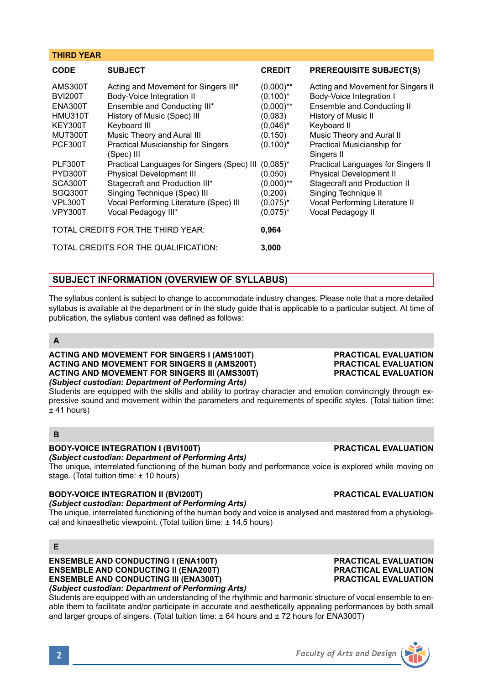# **SUBJECT INFORMATION (OVERVIEW OF SYLLABUS)**

**THIRD YEAR**

The syllabus content is subject to change to accommodate industry changes. Please note that a more detailed syllabus is available at the department or in the study guide that is applicable to a particular subject. At time of publication, the syllabus content was defined as follows:

# **A**

**ACTING AND MOVEMENT FOR SINGERS I (AMS100T) ACTING AND MOVEMENT FOR SINGERS II (AMS200T) ACTING AND MOVEMENT FOR SINGERS III (AMS300T)** *(Subject custodian: Department of Performing Arts)*

Students are equipped with the skills and ability to portray character and emotion convincingly through expressive sound and movement within the parameters and requirements of specific styles. (Total tuition time:  $±$  41 hours)

# **B**

# **BODY-VOICE INTEGRATION I (BVI100T) PRACTICAL EVALUATION**

*(Subject custodian: Department of Performing Arts)*

The unique, interrelated functioning of the human body and performance voice is explored while moving on stage. (Total tuition time: ± 10 hours)

# **BODY-VOICE INTEGRATION II (BVI200T) PRACTICAL EVALUATION**

*(Subject custodian: Department of Performing Arts)*

The unique, interrelated functioning of the human body and voice is analysed and mastered from a physiological and kinaesthetic viewpoint. (Total tuition time: ± 14,5 hours)

# **E**

**ENSEMBLE AND CONDUCTING I (ENA100T) PRACTICAL EVALUATION ENSEMBLE AND CONDUCTING II (ENA200T) PRACTICAL EVALUATION ENSEMBLE AND CONDUCTING III (ENA300T)** *(Subject custodian: Department of Performing Arts)*

Students are equipped with an understanding of the rhythmic and harmonic structure of vocal ensemble to enable them to facilitate and/or participate in accurate and aesthetically appealing performances by both small and larger groups of singers. (Total tuition time: ± 64 hours and ± 72 hours for ENA300T)

| <b>PRACTICAL EVALUATION</b> |
|-----------------------------|
| <b>PRACTICAL EVALUATION</b> |
| <b>PRACTICAL EVALUATION</b> |
|                             |

| CODE | <b>SUBJECT</b> | <b>CREDIT</b> | <b>PREREQUISITE SUBJECT(S)</b> |
|------|----------------|---------------|--------------------------------|
|      |                |               |                                |

| AMS300T                                    | Acting and Movement for Singers III*       | $(0,000)$ ** | Acting and Movement for Singers II |  |
|--------------------------------------------|--------------------------------------------|--------------|------------------------------------|--|
| <b>BVI200T</b>                             | Body-Voice Integration II                  | $(0,100)^*$  | Body-Voice Integration I           |  |
| ENA300T                                    | Ensemble and Conducting III*               | $(0,000)$ ** | Ensemble and Conducting II         |  |
| HMU310T                                    | History of Music (Spec) III                | (0,083)      | History of Music II                |  |
| KEY300T                                    | Keyboard III                               | $(0.046)^*$  | Keyboard II                        |  |
| MUT300T                                    | Music Theory and Aural III                 | (0, 150)     | Music Theory and Aural II          |  |
| PCF300T                                    | <b>Practical Musicianship for Singers</b>  | $(0,100)^*$  | Practical Musicianship for         |  |
|                                            | (Spec) III                                 |              | Singers II                         |  |
| PLF300T                                    | Practical Languages for Singers (Spec) III | $(0.085)^*$  | Practical Languages for Singers II |  |
| PYD300T                                    | <b>Physical Development III</b>            | (0,050)      | <b>Physical Development II</b>     |  |
| SCA300T                                    | Stagecraft and Production III*             | $(0,000)$ ** | Stagecraft and Production II       |  |
| SGQ300T                                    | Singing Technique (Spec) III               | (0, 200)     | Singing Technique II               |  |
| VPL300T                                    | Vocal Performing Literature (Spec) III     | $(0.075)^*$  | Vocal Performing Literature II     |  |
| <b>VPY300T</b>                             | Vocal Pedagogy III*                        | $(0.075)^*$  | Vocal Pedagogy II                  |  |
|                                            |                                            |              |                                    |  |
| TOTAL CREDITS FOR THE THIRD YEAR:<br>0,964 |                                            |              |                                    |  |
|                                            | TOTAL CREDITS FOR THE QUALIFICATION:       | 3.000        |                                    |  |
|                                            |                                            |              |                                    |  |

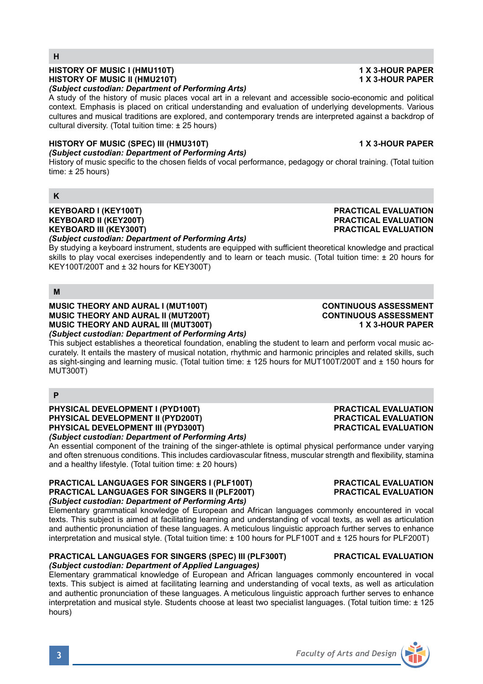# **HISTORY OF MUSIC I (HMU110T) 1 X 3-HOUR PAPER HISTORY OF MUSIC II (HMU210T)**

### *(Subject custodian: Department of Performing Arts)*

A study of the history of music places vocal art in a relevant and accessible socio-economic and political context. Emphasis is placed on critical understanding and evaluation of underlying developments. Various cultures and musical traditions are explored, and contemporary trends are interpreted against a backdrop of cultural diversity. (Total tuition time: ± 25 hours)

### **HISTORY OF MUSIC (SPEC) III (HMU310T) 1 X 3-HOUR PAPER** *(Subject custodian: Department of Performing Arts)*

History of music specific to the chosen fields of vocal performance, pedagogy or choral training. (Total tuition time:  $\pm$  25 hours)

# **K**

**H**

# **KEYBOARD I (KEY100T) PRACTICAL EVALUATION KEYBOARD II (KEY200T) PRACTICAL EVALUATION** *(Subject custodian: Department of Performing Arts)*

By studying a keyboard instrument, students are equipped with sufficient theoretical knowledge and practical skills to play vocal exercises independently and to learn or teach music. (Total tuition time: ± 20 hours for KEY100T/200T and ± 32 hours for KEY300T)

# **M**

**MUSIC THEORY AND AURAL I (MUT100T) CONTINUOUS ASSESSMENT MUSIC THEORY AND AURAL II (MUT200T) CONTINUOUS ASSESSMENT MUSIC THEORY AND AURAL III (MUT300T)** *(Subject custodian: Department of Performing Arts)*

This subject establishes a theoretical foundation, enabling the student to learn and perform vocal music accurately. It entails the mastery of musical notation, rhythmic and harmonic principles and related skills, such as sight-singing and learning music. (Total tuition time: ± 125 hours for MUT100T/200T and ± 150 hours for MUT300T)

# **P**

**PHYSICAL DEVELOPMENT I (PYD100T) PRACTICAL EVALUATION**<br> **PHYSICAL DEVELOPMENT II (PYD200T) PRACTICAL EVALUATION** PHYSICAL DEVELOPMENT II (PYD200T)<br>PHYSICAL DEVELOPMENT III (PYD300T) PHYSICAL EVALUATION **PHYSICAL DEVELOPMENT III (PYD300T)** *(Subject custodian: Department of Performing Arts)*

An essential component of the training of the singer-athlete is optimal physical performance under varying and often strenuous conditions. This includes cardiovascular fitness, muscular strength and flexibility, stamina and a healthy lifestyle. (Total tuition time: ± 20 hours)

### **PRACTICAL LANGUAGES FOR SINGERS I (PLF100T) PRACTICAL EVALUATION PRACTICAL LANGUAGES FOR SINGERS II (PLF200T)** *(Subject custodian: Department of Performing Arts)*

Elementary grammatical knowledge of European and African languages commonly encountered in vocal texts. This subject is aimed at facilitating learning and understanding of vocal texts, as well as articulation and authentic pronunciation of these languages. A meticulous linguistic approach further serves to enhance interpretation and musical style. (Total tuition time: ± 100 hours for PLF100T and ± 125 hours for PLF200T)

### **PRACTICAL LANGUAGES FOR SINGERS (SPEC) III (PLF300T) PRACTICAL EVALUATION** *(Subject custodian: Department of Applied Languages)*

Elementary grammatical knowledge of European and African languages commonly encountered in vocal texts. This subject is aimed at facilitating learning and understanding of vocal texts, as well as articulation and authentic pronunciation of these languages. A meticulous linguistic approach further serves to enhance interpretation and musical style. Students choose at least two specialist languages. (Total tuition time: ± 125 hours)

# **PRACTICAL EVALUATION**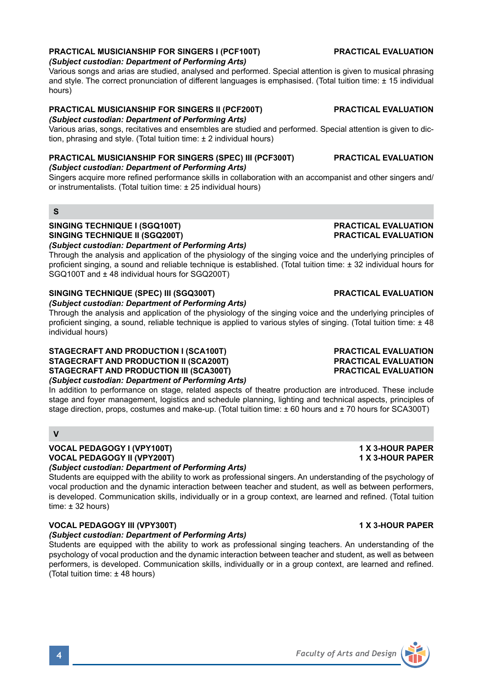# **PRACTICAL MUSICIANSHIP FOR SINGERS I (PCF100T) PRACTICAL EVALUATION**

### *(Subject custodian: Department of Performing Arts)*

Various songs and arias are studied, analysed and performed. Special attention is given to musical phrasing and style. The correct pronunciation of different languages is emphasised. (Total tuition time: ± 15 individual hours)

### **PRACTICAL MUSICIANSHIP FOR SINGERS II (PCF200T) PRACTICAL EVALUATION** *(Subject custodian: Department of Performing Arts)*

Various arias, songs, recitatives and ensembles are studied and performed. Special attention is given to diction, phrasing and style. (Total tuition time: ± 2 individual hours)

# **PRACTICAL MUSICIANSHIP FOR SINGERS (SPEC) III (PCF300T) PRACTICAL EVALUATION**

*(Subject custodian: Department of Performing Arts)*

Singers acquire more refined performance skills in collaboration with an accompanist and other singers and/ or instrumentalists. (Total tuition time: ± 25 individual hours)

### **S**

### **SINGING TECHNIQUE I (SGQ100T) PRACTICAL EVALUATION SINGING TECHNIQUE II (SGQ200T)**

*(Subject custodian: Department of Performing Arts)*

Through the analysis and application of the physiology of the singing voice and the underlying principles of proficient singing, a sound and reliable technique is established. (Total tuition time: ± 32 individual hours for SGQ100T and ± 48 individual hours for SGQ200T)

# **SINGING TECHNIQUE (SPEC) III (SGQ300T) PRACTICAL EVALUATION**

*(Subject custodian: Department of Performing Arts)*

Through the analysis and application of the physiology of the singing voice and the underlying principles of proficient singing, a sound, reliable technique is applied to various styles of singing. (Total tuition time: ± 48 individual hours)

### **STAGECRAFT AND PRODUCTION I (SCA100T) PRACTICAL EVALUATION STAGECRAFT AND PRODUCTION II (SCA200T) PRACTICAL EVALUATION STAGECRAFT AND PRODUCTION III (SCA300T)** *(Subject custodian: Department of Performing Arts)*

In addition to performance on stage, related aspects of theatre production are introduced. These include stage and foyer management, logistics and schedule planning, lighting and technical aspects, principles of stage direction, props, costumes and make-up. (Total tuition time: ± 60 hours and ± 70 hours for SCA300T)

# **V**

### **VOCAL PEDAGOGY I (VPY100T) 1 X 3-HOUR PAPER VOCAL PEDAGOGY II (VPY200T) 1 X 3-HOUR PAPER** *(Subject custodian: Department of Performing Arts)*

Students are equipped with the ability to work as professional singers. An understanding of the psychology of vocal production and the dynamic interaction between teacher and student, as well as between performers, is developed. Communication skills, individually or in a group context, are learned and refined. (Total tuition time:  $\pm$  32 hours)

### **VOCAL PEDAGOGY III (VPY300T)** 1 X 3-HOUR PAPER

## *(Subject custodian: Department of Performing Arts)*

Students are equipped with the ability to work as professional singing teachers. An understanding of the psychology of vocal production and the dynamic interaction between teacher and student, as well as between performers, is developed. Communication skills, individually or in a group context, are learned and refined. (Total tuition time: ± 48 hours)